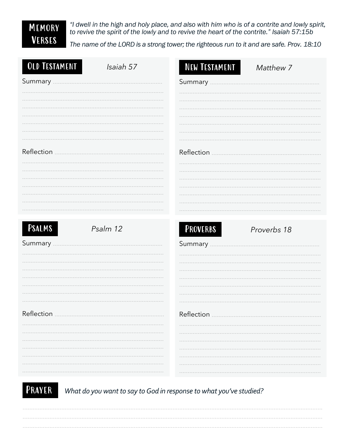## MEMORY **VERSES**

"I dwell in the high and holy place, and also with him who is of a contrite and lowly spirit, to revive the spirit of the lowly and to revive the heart of the contrite." Isaiah 57:15b

The name of the LORD is a strong tower; the righteous run to it and are safe. Prov. 18:10

. . . . . . . . . . . . -------------

. . . . . . . . . . . .

. . . . . . . . . . . . . . . . . . . . . . . . .

. . . . . . . . . . . . . . . . . . . . . . . . . . ------------. . . . . . . . . . . .

. . . . . . . . . . . . ------------. . . . . . . . . . . .

| <b>OLD TESTAMENT</b> | Isaiah 57 | <b>NEW TESTAMENT</b> | Matthew 7   |
|----------------------|-----------|----------------------|-------------|
|                      |           |                      |             |
|                      |           |                      |             |
|                      |           |                      |             |
|                      |           |                      |             |
|                      |           |                      |             |
|                      |           |                      |             |
| Reflection           |           | Reflection           |             |
|                      |           |                      |             |
|                      |           |                      |             |
|                      |           |                      |             |
|                      |           |                      |             |
|                      |           |                      |             |
|                      |           |                      |             |
| <b>PSALMS</b>        | Psalm 12  | <b>PROVERBS</b>      | Proverbs 18 |
| Summary              |           | Summary              |             |
|                      |           |                      |             |

| Reflection |  |
|------------|--|
|            |  |
|            |  |
|            |  |
|            |  |
|            |  |
|            |  |
|            |  |

PRAYER What do you want to say to God in response to what you've studied?